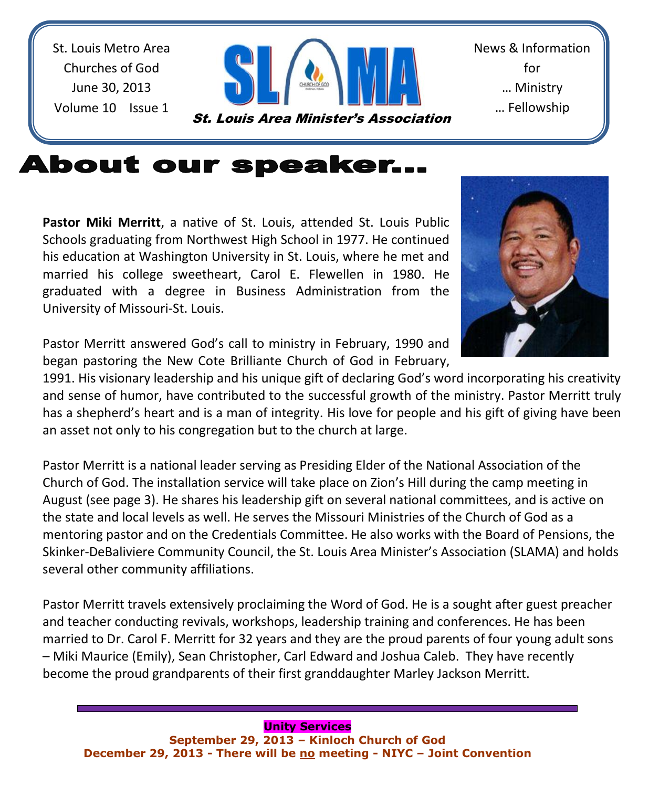St. Louis Metro Area Churches of God June 30, 2013 Volume 10 Issue 1



News & Information for … Ministry … Fellowship

# **About our speaker...**

**Pastor Miki Merritt**, a native of St. Louis, attended St. Louis Public Schools graduating from Northwest High School in 1977. He continued his education at Washington University in St. Louis, where he met and married his college sweetheart, Carol E. Flewellen in 1980. He graduated with a degree in Business Administration from the University of Missouri-St. Louis.

Pastor Merritt answered God's call to ministry in February, 1990 and began pastoring the New Cote Brilliante Church of God in February,

1991. His visionary leadership and his unique gift of declaring God's word incorporating his creativity and sense of humor, have contributed to the successful growth of the ministry. Pastor Merritt truly has a shepherd's heart and is a man of integrity. His love for people and his gift of giving have been an asset not only to his congregation but to the church at large.

Pastor Merritt is a national leader serving as Presiding Elder of the National Association of the Church of God. The installation service will take place on Zion's Hill during the camp meeting in August (see page 3). He shares his leadership gift on several national committees, and is active on the state and local levels as well. He serves the Missouri Ministries of the Church of God as a mentoring pastor and on the Credentials Committee. He also works with the Board of Pensions, the Skinker-DeBaliviere Community Council, the St. Louis Area Minister's Association (SLAMA) and holds several other community affiliations.

Pastor Merritt travels extensively proclaiming the Word of God. He is a sought after guest preacher and teacher conducting revivals, workshops, leadership training and conferences. He has been married to Dr. Carol F. Merritt for 32 years and they are the proud parents of four young adult sons – Miki Maurice (Emily), Sean Christopher, Carl Edward and Joshua Caleb. They have recently become the proud grandparents of their first granddaughter Marley Jackson Merritt.

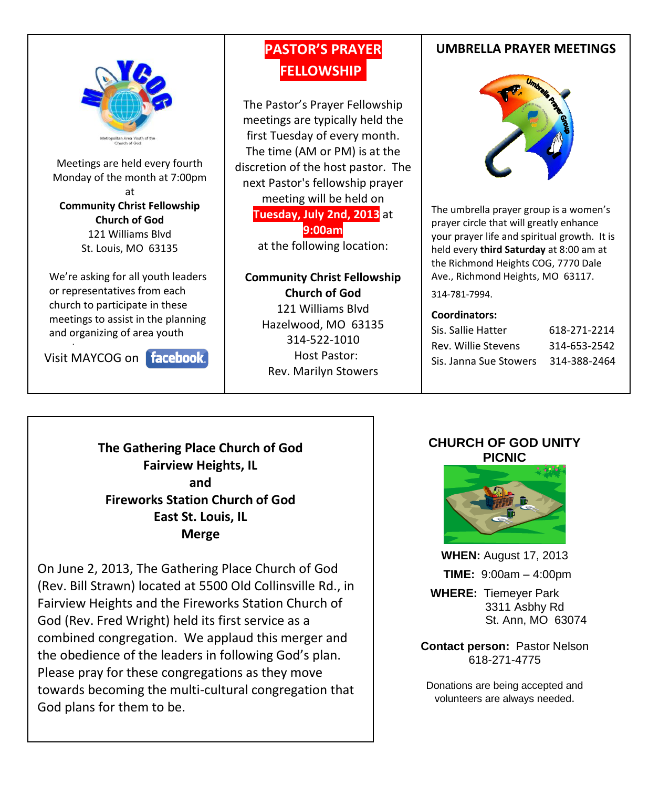

Meetings are held every fourth Monday of the month at 7:00pm at **Community Christ Fellowship Church of God** 121 Williams Blvd St. Louis, MO 63135

We're asking for all youth leaders or representatives from each church to participate in these meetings to assist in the planning and organizing of area youth

Visit MAYCOG on

### **PASTOR'S PRAYER FELLOWSHIP.**

The Pastor's Prayer Fellowship meetings are typically held the first Tuesday of every month. The time (AM or PM) is at the discretion of the host pastor. The next Pastor's fellowship prayer meeting will be held on **Tuesday, July 2nd, 2013** at **9:00am** at the following location:

### **Community Christ Fellowship Church of God** 121 Williams Blvd Hazelwood, MO 63135 314-522-1010 Host Pastor: Rev. Marilyn Stowers

### **UMBRELLA PRAYER MEETINGS**



The umbrella prayer group is a women's prayer circle that will greatly enhance your prayer life and spiritual growth. It is held every **third Saturday** at 8:00 am at the Richmond Heights COG, 7770 Dale Ave., Richmond Heights, MO 63117.

#### 314-781-7994.

#### **Coordinators:**

| Sis. Sallie Hatter     | 618-271-2214 |
|------------------------|--------------|
| Rev. Willie Stevens    | 314-653-2542 |
| Sis. Janna Sue Stowers | 314-388-2464 |

**The Gathering Place Church of God Fairview Heights, IL and Fireworks Station Church of God East St. Louis, IL Merge**

On June 2, 2013, The Gathering Place Church of God (Rev. Bill Strawn) located at 5500 Old Collinsville Rd., in Fairview Heights and the Fireworks Station Church of God (Rev. Fred Wright) held its first service as a combined congregation. We applaud this merger and the obedience of the leaders in following God's plan. Please pray for these congregations as they move towards becoming the multi-cultural congregation that God plans for them to be.

#### **CHURCH OF GOD UNITY PICNIC**



**WHEN:** August 17, 2013  **TIME:** 9:00am – 4:00pm  **WHERE:** Tiemeyer Park 3311 Asbhy Rd

St. Ann, MO 63074

**Contact person:** Pastor Nelson 618-271-4775

Donations are being accepted and volunteers are always needed.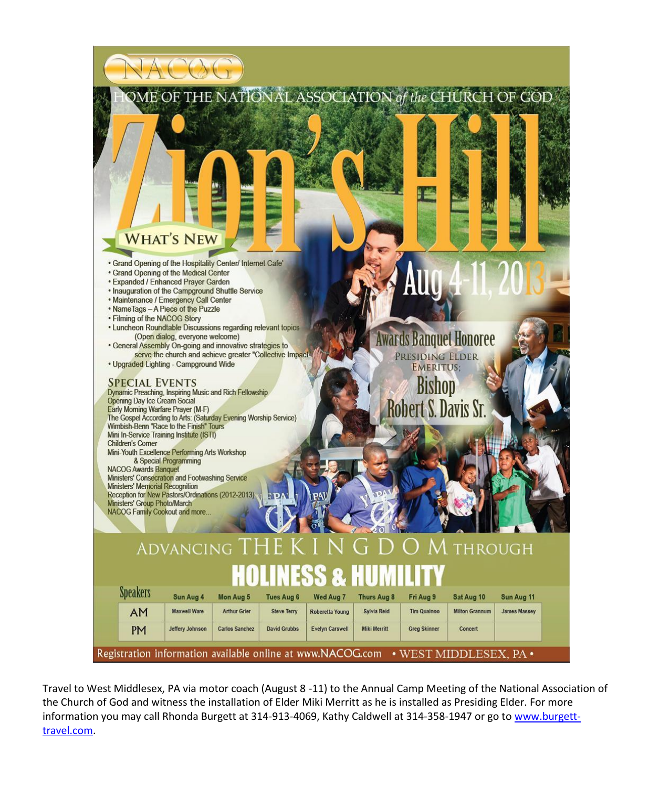

Travel to West Middlesex, PA via motor coach (August 8 -11) to the Annual Camp Meeting of the National Association of the Church of God and witness the installation of Elder Miki Merritt as he is installed as Presiding Elder. For more information you may call Rhonda Burgett at 314-913-4069, Kathy Caldwell at 314-358-1947 or go t[o www.burgett](http://www.burgett-travel.com/)[travel.com.](http://www.burgett-travel.com/)